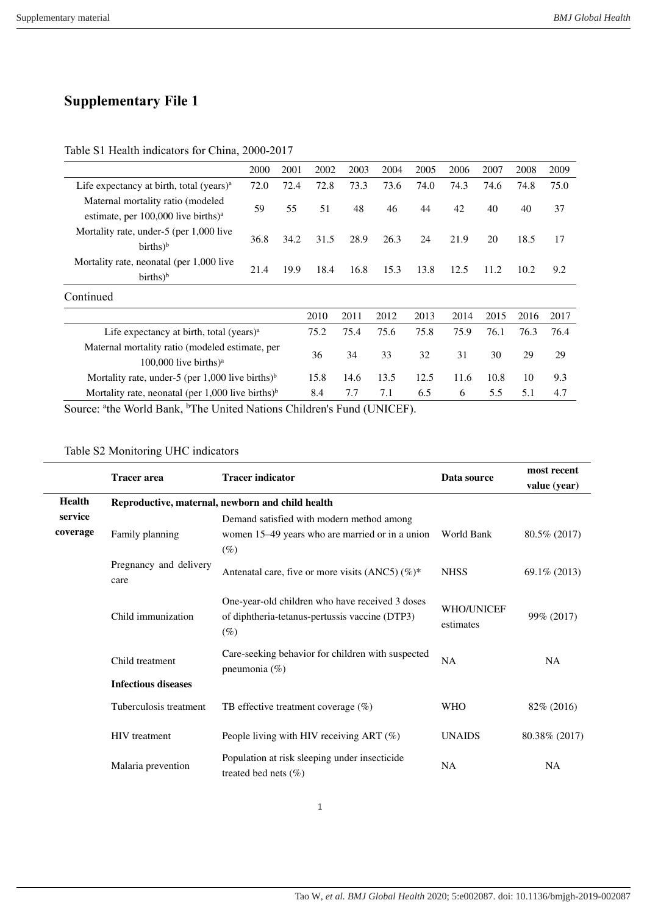## **Supplementary File 1**

## Table S1 Health indicators for China, 2000-2017

|                                                                                                                                                                                                                                                                                                                                                                                      | 2000 | 2001 | 2002 | 2003 | 2004 | 2005 | 2006 | 2007 | 2008 | 2009 |
|--------------------------------------------------------------------------------------------------------------------------------------------------------------------------------------------------------------------------------------------------------------------------------------------------------------------------------------------------------------------------------------|------|------|------|------|------|------|------|------|------|------|
| Life expectancy at birth, total (years) <sup>a</sup>                                                                                                                                                                                                                                                                                                                                 | 72.0 | 72.4 | 72.8 | 73.3 | 73.6 | 74.0 | 74.3 | 74.6 | 74.8 | 75.0 |
| Maternal mortality ratio (modeled)<br>estimate, per $100,000$ live births) <sup>a</sup>                                                                                                                                                                                                                                                                                              | 59   | 55   | 51   | 48   | 46   | 44   | 42   | 40   | 40   | 37   |
| Mortality rate, under-5 (per 1,000 live<br>$births)^b$                                                                                                                                                                                                                                                                                                                               | 36.8 | 34.2 | 31.5 | 28.9 | 26.3 | 24   | 21.9 | 20   | 18.5 | 17   |
| Mortality rate, neonatal (per 1,000 live<br>$births)^b$                                                                                                                                                                                                                                                                                                                              | 21.4 | 19.9 | 18.4 | 16.8 | 15.3 | 13.8 | 12.5 | 11.2 | 10.2 | 9.2  |
| Continued                                                                                                                                                                                                                                                                                                                                                                            |      |      |      |      |      |      |      |      |      |      |
|                                                                                                                                                                                                                                                                                                                                                                                      |      |      | 2010 | 2011 | 2012 | 2013 | 2014 | 2015 | 2016 | 2017 |
| Life expectancy at birth, total (years) $a$                                                                                                                                                                                                                                                                                                                                          |      |      | 75.2 | 75.4 | 75.6 | 75.8 | 75.9 | 76.1 | 76.3 | 76.4 |
| Maternal mortality ratio (modeled estimate, per<br>100,000 live births) <sup>a</sup>                                                                                                                                                                                                                                                                                                 |      |      | 36   | 34   | 33   | 32   | 31   | 30   | 29   | 29   |
| Mortality rate, under-5 (per 1,000 live births) <sup>b</sup>                                                                                                                                                                                                                                                                                                                         |      |      | 15.8 | 14.6 | 13.5 | 12.5 | 11.6 | 10.8 | 10   | 9.3  |
| Mortality rate, neonatal (per 1,000 live births) <sup>b</sup>                                                                                                                                                                                                                                                                                                                        |      |      | 8.4  | 7.7  | 7.1  | 6.5  | 6    | 5.5  | 5.1  | 4.7  |
| $\overline{a}$ $\overline{a}$ $\overline{a}$ $\overline{a}$ $\overline{a}$ $\overline{a}$ $\overline{a}$ $\overline{a}$ $\overline{a}$ $\overline{a}$ $\overline{a}$ $\overline{a}$ $\overline{a}$ $\overline{a}$ $\overline{a}$ $\overline{a}$ $\overline{a}$ $\overline{a}$ $\overline{a}$ $\overline{a}$ $\overline{a}$ $\overline{a}$ $\overline{a}$ $\overline{a}$ $\overline{$ |      |      |      |      |      |      |      |      |      |      |

Source: <sup>a</sup>the World Bank, <sup>b</sup>The United Nations Children's Fund (UNICEF).

## Table S2 Monitoring UHC indicators

|               | <b>Tracer</b> area                               | <b>Tracer indicator</b>                                                                                     | Data source                    | most recent     |  |
|---------------|--------------------------------------------------|-------------------------------------------------------------------------------------------------------------|--------------------------------|-----------------|--|
|               |                                                  |                                                                                                             |                                | value (year)    |  |
| <b>Health</b> | Reproductive, maternal, newborn and child health |                                                                                                             |                                |                 |  |
| service       |                                                  | Demand satisfied with modern method among                                                                   |                                |                 |  |
| coverage      | Family planning                                  | women 15–49 years who are married or in a union                                                             | World Bank                     | 80.5% (2017)    |  |
|               |                                                  | $(\%)$                                                                                                      |                                |                 |  |
|               | Pregnancy and delivery<br>care                   | Antenatal care, five or more visits (ANC5) $(\%)^*$                                                         | <b>NHSS</b>                    | $69.1\% (2013)$ |  |
|               | Child immunization                               | One-year-old children who have received 3 doses<br>of diphtheria-tetanus-pertussis vaccine (DTP3)<br>$(\%)$ | <b>WHO/UNICEF</b><br>estimates | 99% (2017)      |  |
|               | Child treatment                                  | Care-seeking behavior for children with suspected<br>pneumonia $(\%)$                                       | <b>NA</b>                      | <b>NA</b>       |  |
|               | <b>Infectious diseases</b>                       |                                                                                                             |                                |                 |  |
|               | Tuberculosis treatment                           | TB effective treatment coverage $(\%)$                                                                      | <b>WHO</b>                     | 82\% (2016)     |  |
|               | <b>HIV</b> treatment                             | People living with HIV receiving ART $(\%)$                                                                 | <b>UNAIDS</b>                  | 80.38% (2017)   |  |
|               | Malaria prevention                               | Population at risk sleeping under insecticide<br>treated bed nets $(\%)$                                    | <b>NA</b>                      | <b>NA</b>       |  |